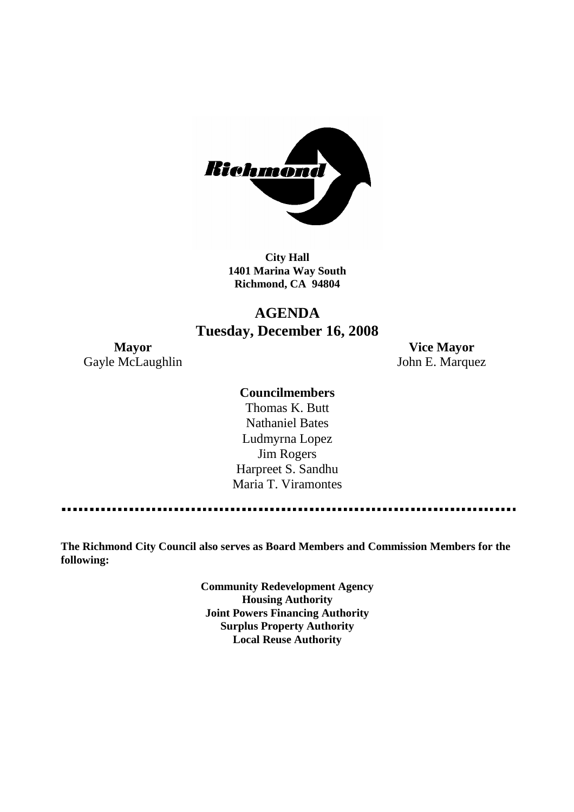

**City Hall 1401 Marina Way South Richmond, CA 94804**

# **AGENDA Tuesday, December 16, 2008**

**Mayor Vice Mayor** Gayle McLaughlin John E. Marquez

## **Councilmembers**

Thomas K. Butt Nathaniel Bates Ludmyrna Lopez Jim Rogers Harpreet S. Sandhu Maria T. Viramontes

**The Richmond City Council also serves as Board Members and Commission Members for the following:**

> **Community Redevelopment Agency Housing Authority Joint Powers Financing Authority Surplus Property Authority Local Reuse Authority**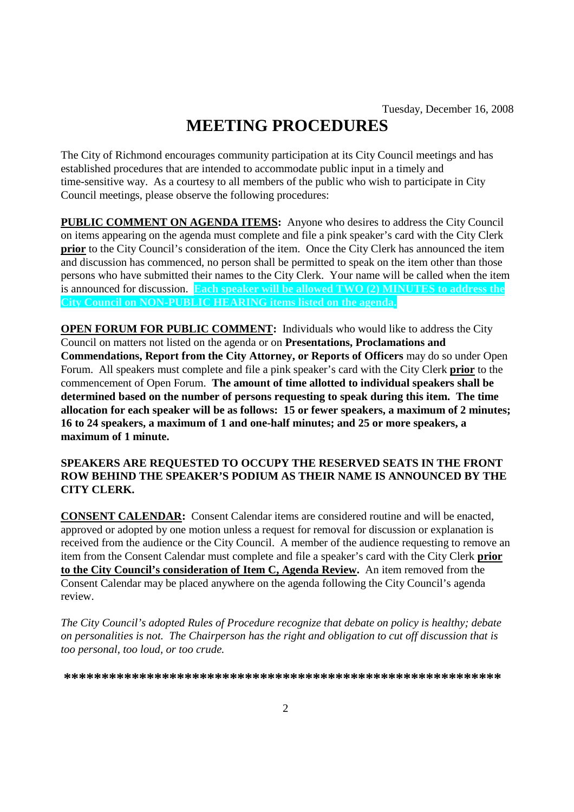# **MEETING PROCEDURES**

The City of Richmond encourages community participation at its City Council meetings and has established procedures that are intended to accommodate public input in a timely and time-sensitive way. As a courtesy to all members of the public who wish to participate in City Council meetings, please observe the following procedures:

**PUBLIC COMMENT ON AGENDA ITEMS:** Anyone who desires to address the City Council on items appearing on the agenda must complete and file a pink speaker's card with the City Clerk **prior** to the City Council's consideration of the item. Once the City Clerk has announced the item and discussion has commenced, no person shall be permitted to speak on the item other than those persons who have submitted their names to the City Clerk. Your name will be called when the item is announced for discussion. **Each speaker will be allowed TWO (2) MINUTES to address the City Council on NON-PUBLIC HEARING items listed on the agenda.**

**OPEN FORUM FOR PUBLIC COMMENT:** Individuals who would like to address the City Council on matters not listed on the agenda or on **Presentations, Proclamations and Commendations, Report from the City Attorney, or Reports of Officers** may do so under Open Forum. All speakers must complete and file a pink speaker's card with the City Clerk **prior** to the commencement of Open Forum. **The amount of time allotted to individual speakers shall be determined based on the number of persons requesting to speak during this item. The time allocation for each speaker will be as follows: 15 or fewer speakers, a maximum of 2 minutes; 16 to 24 speakers, a maximum of 1 and one-half minutes; and 25 or more speakers, a maximum of 1 minute.**

### **SPEAKERS ARE REQUESTED TO OCCUPY THE RESERVED SEATS IN THE FRONT ROW BEHIND THE SPEAKER'S PODIUM AS THEIR NAME IS ANNOUNCED BY THE CITY CLERK.**

**CONSENT CALENDAR:** Consent Calendar items are considered routine and will be enacted, approved or adopted by one motion unless a request for removal for discussion or explanation is received from the audience or the City Council. A member of the audience requesting to remove an item from the Consent Calendar must complete and file a speaker's card with the City Clerk **prior to the City Council's consideration of Item C, Agenda Review.** An item removed from the Consent Calendar may be placed anywhere on the agenda following the City Council's agenda review.

*The City Council's adopted Rules of Procedure recognize that debate on policy is healthy; debate on personalities is not. The Chairperson has the right and obligation to cut off discussion that is too personal, too loud, or too crude.*

**\*\*\*\*\*\*\*\*\*\*\*\*\*\*\*\*\*\*\*\*\*\*\*\*\*\*\*\*\*\*\*\*\*\*\*\*\*\*\*\*\*\*\*\*\*\*\*\*\*\*\*\*\*\*\*\*\*\***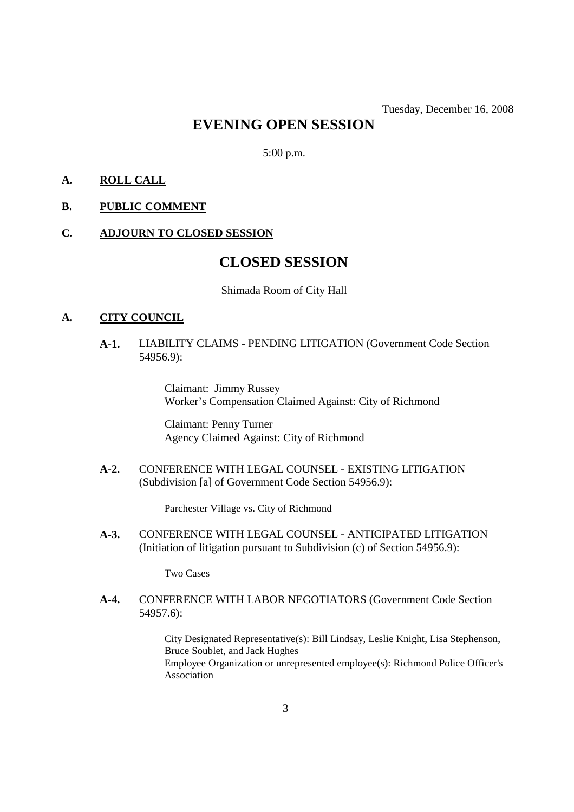# **EVENING OPEN SESSION**

5:00 p.m.

## **A. ROLL CALL**

## **B. PUBLIC COMMENT**

### **C. ADJOURN TO CLOSED SESSION**

## **CLOSED SESSION**

Shimada Room of City Hall

### **A. CITY COUNCIL**

## **A-1.** LIABILITY CLAIMS - PENDING LITIGATION (Government Code Section 54956.9):

Claimant: Jimmy Russey Worker's Compensation Claimed Against: City of Richmond

Claimant: Penny Turner Agency Claimed Against: City of Richmond

**A-2.** CONFERENCE WITH LEGAL COUNSEL - EXISTING LITIGATION (Subdivision [a] of Government Code Section 54956.9):

Parchester Village vs. City of Richmond

**A-3.** CONFERENCE WITH LEGAL COUNSEL - ANTICIPATED LITIGATION (Initiation of litigation pursuant to Subdivision (c) of Section 54956.9):

Two Cases

**A-4.** CONFERENCE WITH LABOR NEGOTIATORS (Government Code Section 54957.6):

> City Designated Representative(s): Bill Lindsay, Leslie Knight, Lisa Stephenson, Bruce Soublet, and Jack Hughes Employee Organization or unrepresented employee(s): Richmond Police Officer's Association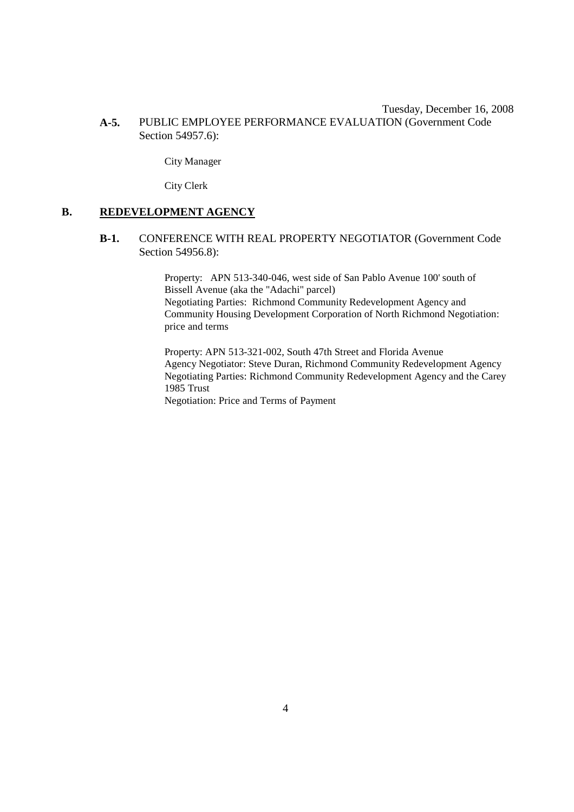### Tuesday, December 16, 2008 **A-5.** PUBLIC EMPLOYEE PERFORMANCE EVALUATION (Government Code Section 54957.6):

City Manager

City Clerk

### **B. REDEVELOPMENT AGENCY**

### **B-1.** CONFERENCE WITH REAL PROPERTY NEGOTIATOR (Government Code Section 54956.8):

Property: APN 513-340-046, west side of San Pablo Avenue 100' south of Bissell Avenue (aka the "Adachi" parcel) Negotiating Parties: Richmond Community Redevelopment Agency and Community Housing Development Corporation of North Richmond Negotiation: price and terms

Property: APN 513-321-002, South 47th Street and Florida Avenue Agency Negotiator: Steve Duran, Richmond Community Redevelopment Agency Negotiating Parties: Richmond Community Redevelopment Agency and the Carey 1985 Trust

Negotiation: Price and Terms of Payment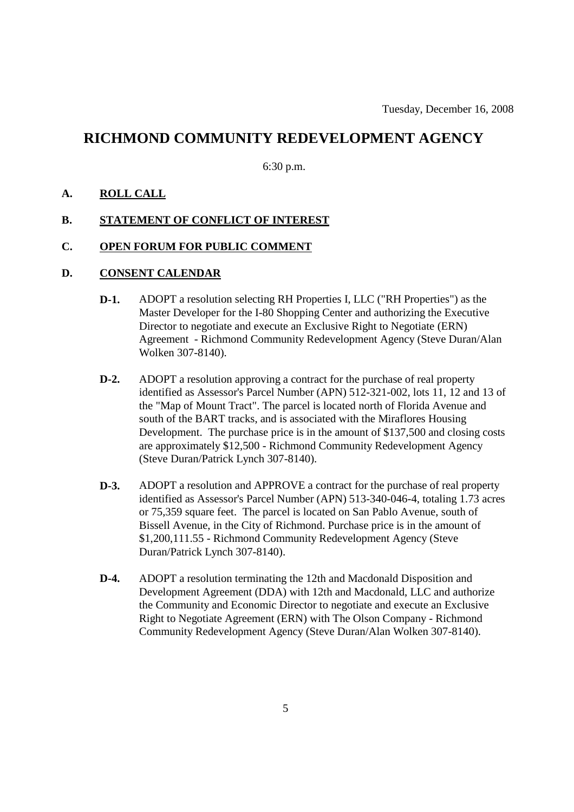## **RICHMOND COMMUNITY REDEVELOPMENT AGENCY**

6:30 p.m.

### **A. ROLL CALL**

### **B. STATEMENT OF CONFLICT OF INTEREST**

### **C. OPEN FORUM FOR PUBLIC COMMENT**

## **D. CONSENT CALENDAR**

- **D-1.** ADOPT a resolution selecting RH Properties I, LLC ("RH Properties") as the Master Developer for the I-80 Shopping Center and authorizing the Executive Director to negotiate and execute an Exclusive Right to Negotiate (ERN) Agreement - Richmond Community Redevelopment Agency (Steve Duran/Alan Wolken 307-8140).
- **D-2.** ADOPT a resolution approving a contract for the purchase of real property identified as Assessor's Parcel Number (APN) 512-321-002, lots 11, 12 and 13 of the "Map of Mount Tract". The parcel is located north of Florida Avenue and south of the BART tracks, and is associated with the Miraflores Housing Development. The purchase price is in the amount of \$137,500 and closing costs are approximately \$12,500 - Richmond Community Redevelopment Agency (Steve Duran/Patrick Lynch 307-8140).
- **D-3.** ADOPT a resolution and APPROVE a contract for the purchase of real property identified as Assessor's Parcel Number (APN) 513-340-046-4, totaling 1.73 acres or 75,359 square feet. The parcel is located on San Pablo Avenue, south of Bissell Avenue, in the City of Richmond. Purchase price is in the amount of \$1,200,111.55 - Richmond Community Redevelopment Agency (Steve Duran/Patrick Lynch 307-8140).
- **D-4.** ADOPT a resolution terminating the 12th and Macdonald Disposition and Development Agreement (DDA) with 12th and Macdonald, LLC and authorize the Community and Economic Director to negotiate and execute an Exclusive Right to Negotiate Agreement (ERN) with The Olson Company - Richmond Community Redevelopment Agency (Steve Duran/Alan Wolken 307-8140).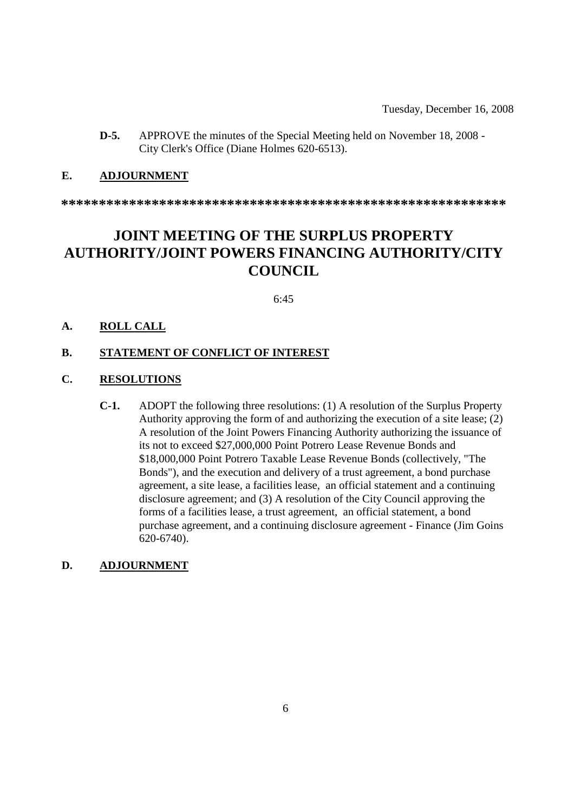**D-5.** APPROVE the minutes of the Special Meeting held on November 18, 2008 - City Clerk's Office (Diane Holmes 620-6513).

### **E. ADJOURNMENT**

**\*\*\*\*\*\*\*\*\*\*\*\*\*\*\*\*\*\*\*\*\*\*\*\*\*\*\*\*\*\*\*\*\*\*\*\*\*\*\*\*\*\*\*\*\*\*\*\*\*\*\*\*\*\*\*\*\*\*\***

# **JOINT MEETING OF THE SURPLUS PROPERTY AUTHORITY/JOINT POWERS FINANCING AUTHORITY/CITY COUNCIL**

6:45

### **A. ROLL CALL**

### **B. STATEMENT OF CONFLICT OF INTEREST**

## **C. RESOLUTIONS**

**C-1.** ADOPT the following three resolutions: (1) A resolution of the Surplus Property Authority approving the form of and authorizing the execution of a site lease; (2) A resolution of the Joint Powers Financing Authority authorizing the issuance of its not to exceed \$27,000,000 Point Potrero Lease Revenue Bonds and \$18,000,000 Point Potrero Taxable Lease Revenue Bonds (collectively, "The Bonds"), and the execution and delivery of a trust agreement, a bond purchase agreement, a site lease, a facilities lease, an official statement and a continuing disclosure agreement; and (3) A resolution of the City Council approving the forms of a facilities lease, a trust agreement, an official statement, a bond purchase agreement, and a continuing disclosure agreement - Finance (Jim Goins 620-6740).

### **D. ADJOURNMENT**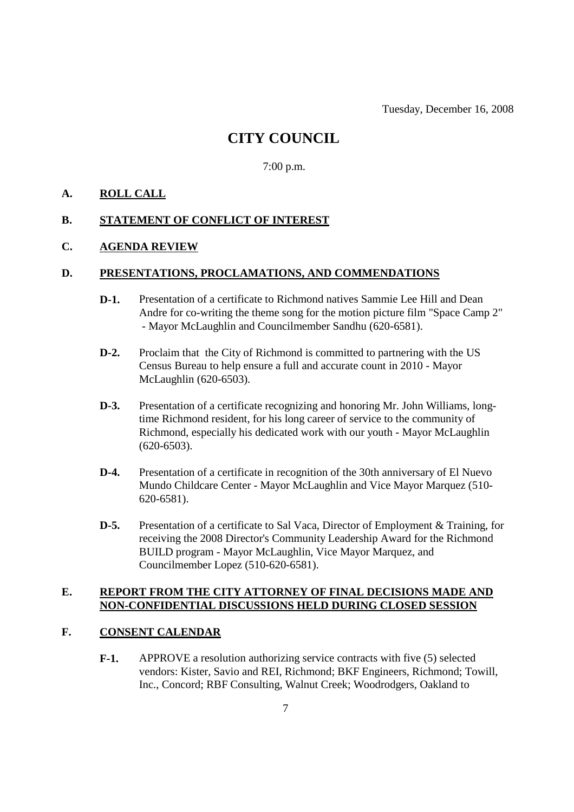## **CITY COUNCIL**

7:00 p.m.

## **A. ROLL CALL**

### **B. STATEMENT OF CONFLICT OF INTEREST**

### **C. AGENDA REVIEW**

#### **D. PRESENTATIONS, PROCLAMATIONS, AND COMMENDATIONS**

- **D-1.** Presentation of a certificate to Richmond natives Sammie Lee Hill and Dean Andre for co-writing the theme song for the motion picture film "Space Camp 2" - Mayor McLaughlin and Councilmember Sandhu (620-6581).
- **D-2.** Proclaim that the City of Richmond is committed to partnering with the US Census Bureau to help ensure a full and accurate count in 2010 - Mayor McLaughlin (620-6503).
- **D-3.** Presentation of a certificate recognizing and honoring Mr. John Williams, longtime Richmond resident, for his long career of service to the community of Richmond, especially his dedicated work with our youth - Mayor McLaughlin (620-6503).
- **D-4.** Presentation of a certificate in recognition of the 30th anniversary of El Nuevo Mundo Childcare Center - Mayor McLaughlin and Vice Mayor Marquez (510- 620-6581).
- **D-5.** Presentation of a certificate to Sal Vaca, Director of Employment & Training, for receiving the 2008 Director's Community Leadership Award for the Richmond BUILD program - Mayor McLaughlin, Vice Mayor Marquez, and Councilmember Lopez (510-620-6581).

## **E. REPORT FROM THE CITY ATTORNEY OF FINAL DECISIONS MADE AND NON-CONFIDENTIAL DISCUSSIONS HELD DURING CLOSED SESSION**

### **F. CONSENT CALENDAR**

**F-1.** APPROVE a resolution authorizing service contracts with five (5) selected vendors: Kister, Savio and REI, Richmond; BKF Engineers, Richmond; Towill, Inc., Concord; RBF Consulting, Walnut Creek; Woodrodgers, Oakland to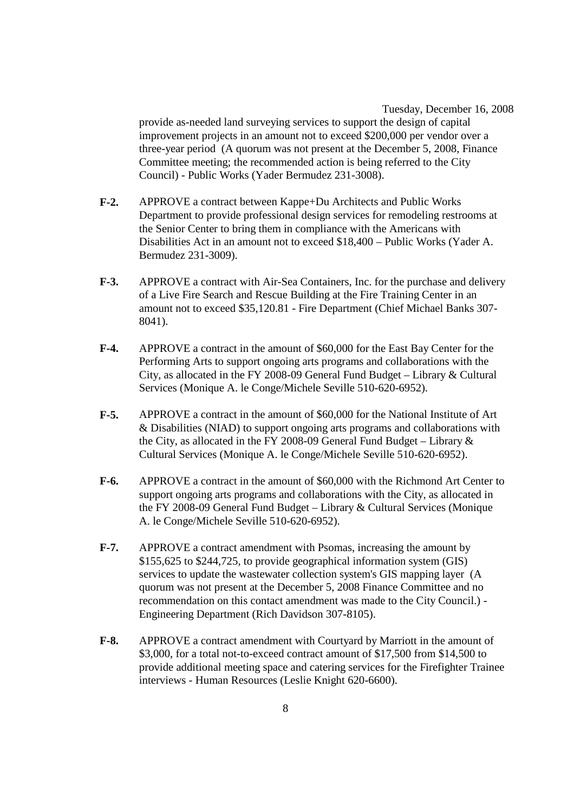Tuesday, December 16, 2008 provide as-needed land surveying services to support the design of capital improvement projects in an amount not to exceed \$200,000 per vendor over a three-year period (A quorum was not present at the December 5, 2008, Finance Committee meeting; the recommended action is being referred to the City Council) - Public Works (Yader Bermudez 231-3008).

- **F-2.** APPROVE a contract between Kappe+Du Architects and Public Works Department to provide professional design services for remodeling restrooms at the Senior Center to bring them in compliance with the Americans with Disabilities Act in an amount not to exceed \$18,400 – Public Works (Yader A. Bermudez 231-3009).
- **F-3.** APPROVE a contract with Air-Sea Containers, Inc. for the purchase and delivery of a Live Fire Search and Rescue Building at the Fire Training Center in an amount not to exceed \$35,120.81 - Fire Department (Chief Michael Banks 307- 8041).
- **F-4.** APPROVE a contract in the amount of \$60,000 for the East Bay Center for the Performing Arts to support ongoing arts programs and collaborations with the City, as allocated in the FY 2008-09 General Fund Budget – Library & Cultural Services (Monique A. le Conge/Michele Seville 510-620-6952).
- **F-5.** APPROVE a contract in the amount of \$60,000 for the National Institute of Art & Disabilities (NIAD) to support ongoing arts programs and collaborations with the City, as allocated in the FY 2008-09 General Fund Budget – Library & Cultural Services (Monique A. le Conge/Michele Seville 510-620-6952).
- **F-6.** APPROVE a contract in the amount of \$60,000 with the Richmond Art Center to support ongoing arts programs and collaborations with the City, as allocated in the FY 2008-09 General Fund Budget – Library & Cultural Services (Monique A. le Conge/Michele Seville 510-620-6952).
- **F-7.** APPROVE a contract amendment with Psomas, increasing the amount by \$155,625 to \$244,725, to provide geographical information system (GIS) services to update the wastewater collection system's GIS mapping layer (A quorum was not present at the December 5, 2008 Finance Committee and no recommendation on this contact amendment was made to the City Council.) - Engineering Department (Rich Davidson 307-8105).
- **F-8.** APPROVE a contract amendment with Courtyard by Marriott in the amount of \$3,000, for a total not-to-exceed contract amount of \$17,500 from \$14,500 to provide additional meeting space and catering services for the Firefighter Trainee interviews - Human Resources (Leslie Knight 620-6600).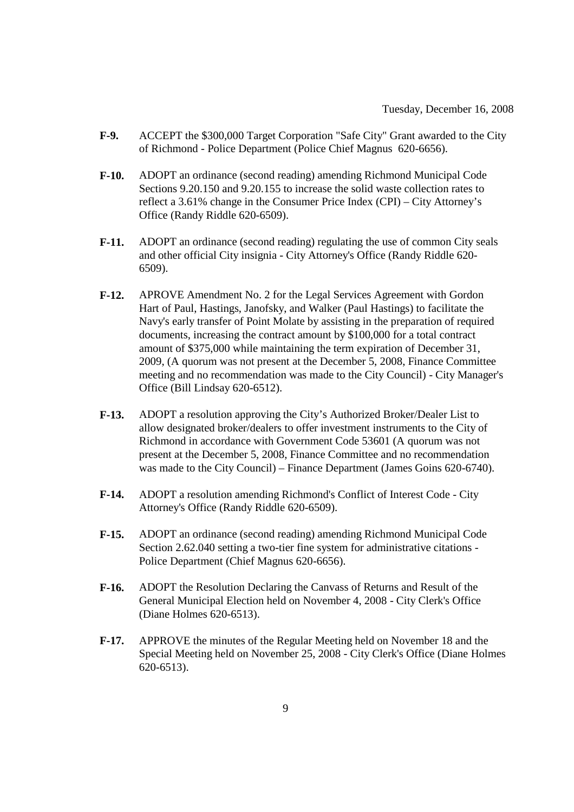- **F-9.** ACCEPT the \$300,000 Target Corporation "Safe City" Grant awarded to the City of Richmond - Police Department (Police Chief Magnus 620-6656).
- **F-10.** ADOPT an ordinance (second reading) amending Richmond Municipal Code Sections 9.20.150 and 9.20.155 to increase the solid waste collection rates to reflect a 3.61% change in the Consumer Price Index (CPI) – City Attorney's Office (Randy Riddle 620-6509).
- **F-11.** ADOPT an ordinance (second reading) regulating the use of common City seals and other official City insignia - City Attorney's Office (Randy Riddle 620- 6509).
- **F-12.** APROVE Amendment No. 2 for the Legal Services Agreement with Gordon Hart of Paul, Hastings, Janofsky, and Walker (Paul Hastings) to facilitate the Navy's early transfer of Point Molate by assisting in the preparation of required documents, increasing the contract amount by \$100,000 for a total contract amount of \$375,000 while maintaining the term expiration of December 31, 2009, (A quorum was not present at the December 5, 2008, Finance Committee meeting and no recommendation was made to the City Council) - City Manager's Office (Bill Lindsay 620-6512).
- **F-13.** ADOPT a resolution approving the City's Authorized Broker/Dealer List to allow designated broker/dealers to offer investment instruments to the City of Richmond in accordance with Government Code 53601 (A quorum was not present at the December 5, 2008, Finance Committee and no recommendation was made to the City Council) – Finance Department (James Goins 620-6740).
- **F-14.** ADOPT a resolution amending Richmond's Conflict of Interest Code City Attorney's Office (Randy Riddle 620-6509).
- **F-15.** ADOPT an ordinance (second reading) amending Richmond Municipal Code Section 2.62.040 setting a two-tier fine system for administrative citations - Police Department (Chief Magnus 620-6656).
- **F-16.** ADOPT the Resolution Declaring the Canvass of Returns and Result of the General Municipal Election held on November 4, 2008 - City Clerk's Office (Diane Holmes 620-6513).
- **F-17.** APPROVE the minutes of the Regular Meeting held on November 18 and the Special Meeting held on November 25, 2008 - City Clerk's Office (Diane Holmes 620-6513).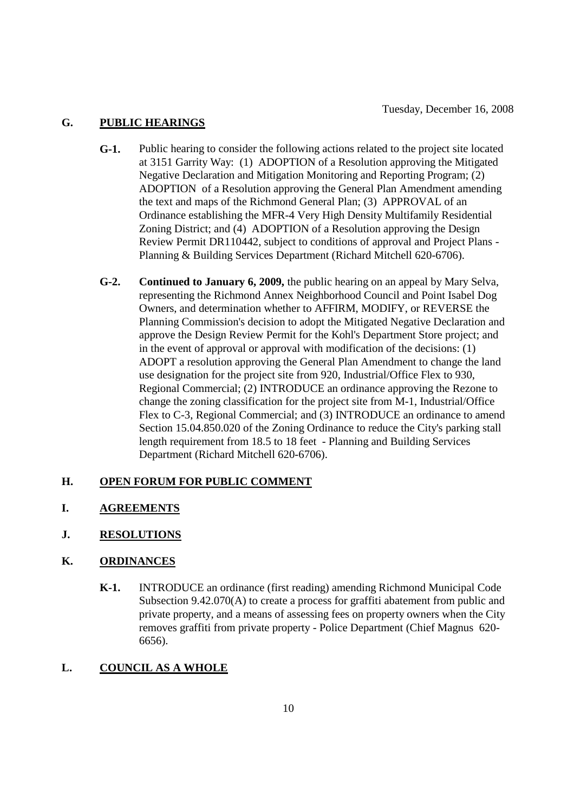## **G. PUBLIC HEARINGS**

- **G-1.** Public hearing to consider the following actions related to the project site located at 3151 Garrity Way: (1) ADOPTION of a Resolution approving the Mitigated Negative Declaration and Mitigation Monitoring and Reporting Program; (2) ADOPTION of a Resolution approving the General Plan Amendment amending the text and maps of the Richmond General Plan; (3) APPROVAL of an Ordinance establishing the MFR-4 Very High Density Multifamily Residential Zoning District; and (4) ADOPTION of a Resolution approving the Design Review Permit DR110442, subject to conditions of approval and Project Plans - Planning & Building Services Department (Richard Mitchell 620-6706).
- **G-2. Continued to January 6, 2009,** the public hearing on an appeal by Mary Selva, representing the Richmond Annex Neighborhood Council and Point Isabel Dog Owners, and determination whether to AFFIRM, MODIFY, or REVERSE the Planning Commission's decision to adopt the Mitigated Negative Declaration and approve the Design Review Permit for the Kohl's Department Store project; and in the event of approval or approval with modification of the decisions: (1) ADOPT a resolution approving the General Plan Amendment to change the land use designation for the project site from 920, Industrial/Office Flex to 930, Regional Commercial; (2) INTRODUCE an ordinance approving the Rezone to change the zoning classification for the project site from M-1, Industrial/Office Flex to C-3, Regional Commercial; and (3) INTRODUCE an ordinance to amend Section 15.04.850.020 of the Zoning Ordinance to reduce the City's parking stall length requirement from 18.5 to 18 feet - Planning and Building Services Department (Richard Mitchell 620-6706).

## **H. OPEN FORUM FOR PUBLIC COMMENT**

- **I. AGREEMENTS**
- **J. RESOLUTIONS**

### **K. ORDINANCES**

**K-1.** INTRODUCE an ordinance (first reading) amending Richmond Municipal Code Subsection 9.42.070(A) to create a process for graffiti abatement from public and private property, and a means of assessing fees on property owners when the City removes graffiti from private property - Police Department (Chief Magnus 620- 6656).

## **L. COUNCIL AS A WHOLE**